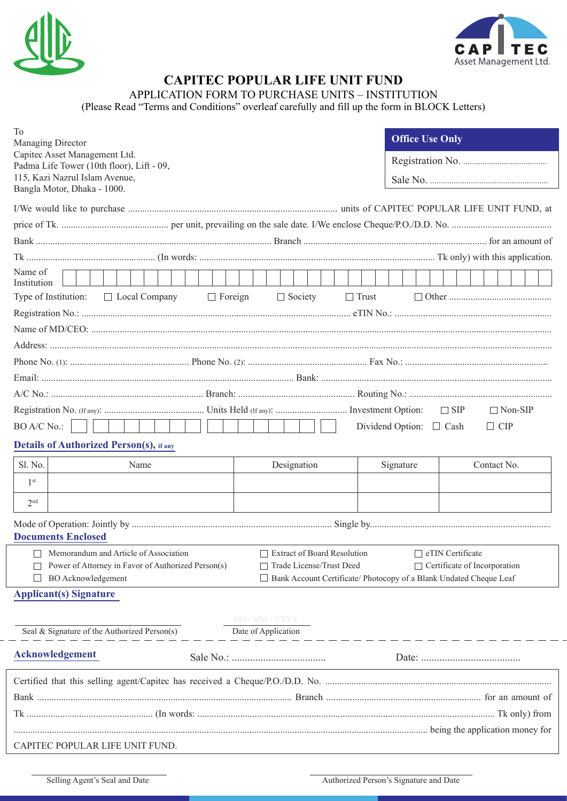



## **CAPITEC POPULAR LIFE UNIT FUND**

APPLICATION FORM TO PURCHASE UNITS – INSTITUTION

(Please Read "Terms and Conditions" overleaf carefully and fill up the form in BLOCK Letters)

| To<br>Managing Director<br>Capitec Asset Management Ltd.<br>Padma Life Tower (10th floor), Lift - 09,<br>115, Kazi Nazrul Islam Avenue,<br>Bangla Motor, Dhaka - 1000.                                            | <b>Office Use Only</b>                |  |  |
|-------------------------------------------------------------------------------------------------------------------------------------------------------------------------------------------------------------------|---------------------------------------|--|--|
|                                                                                                                                                                                                                   |                                       |  |  |
|                                                                                                                                                                                                                   |                                       |  |  |
|                                                                                                                                                                                                                   |                                       |  |  |
|                                                                                                                                                                                                                   |                                       |  |  |
| Name of<br>Institution                                                                                                                                                                                            |                                       |  |  |
| $\Box$ Foreign<br>$\Box$ Trust<br>Type of Institution:<br>$\Box$ Local Company<br>$\Box$ Society                                                                                                                  |                                       |  |  |
|                                                                                                                                                                                                                   |                                       |  |  |
|                                                                                                                                                                                                                   |                                       |  |  |
|                                                                                                                                                                                                                   |                                       |  |  |
|                                                                                                                                                                                                                   |                                       |  |  |
|                                                                                                                                                                                                                   |                                       |  |  |
|                                                                                                                                                                                                                   |                                       |  |  |
|                                                                                                                                                                                                                   | $\Box$ SIP<br>$\Box$ Non-SIP          |  |  |
| BO A/C No.:                                                                                                                                                                                                       | Dividend Option: □ Cash<br>$\Box$ CIP |  |  |
| <b>Details of Authorized Person(s), if any</b>                                                                                                                                                                    |                                       |  |  |
| Sl. No.<br>Name<br>Designation                                                                                                                                                                                    | Contact No.<br>Signature              |  |  |
| 1 <sup>st</sup>                                                                                                                                                                                                   |                                       |  |  |
| 2 <sub>nd</sub>                                                                                                                                                                                                   |                                       |  |  |
|                                                                                                                                                                                                                   |                                       |  |  |
| <b>Documents Enclosed</b>                                                                                                                                                                                         |                                       |  |  |
| Memorandum and Article of Association<br><b>Extract of Board Resolution</b><br>eTIN Certificate<br>Trade License/Trust Deed<br>Certificate of Incorporation<br>Power of Attorney in Favor of Authorized Person(s) |                                       |  |  |
| <b>BO</b> Acknowledgement<br>Bank Account Certificate/ Photocopy of a Blank Undated Cheque Leaf                                                                                                                   |                                       |  |  |
| <b>Applicant(s) Signature</b>                                                                                                                                                                                     |                                       |  |  |
|                                                                                                                                                                                                                   |                                       |  |  |
| DD / MM / YYYY<br>Seal & Signature of the Authorized Person(s)<br>Date of Application                                                                                                                             |                                       |  |  |
| <b>Acknowledgement</b>                                                                                                                                                                                            |                                       |  |  |
|                                                                                                                                                                                                                   |                                       |  |  |
|                                                                                                                                                                                                                   |                                       |  |  |
|                                                                                                                                                                                                                   |                                       |  |  |
|                                                                                                                                                                                                                   |                                       |  |  |
| CAPITEC POPULAR LIFE UNIT FUND.                                                                                                                                                                                   |                                       |  |  |